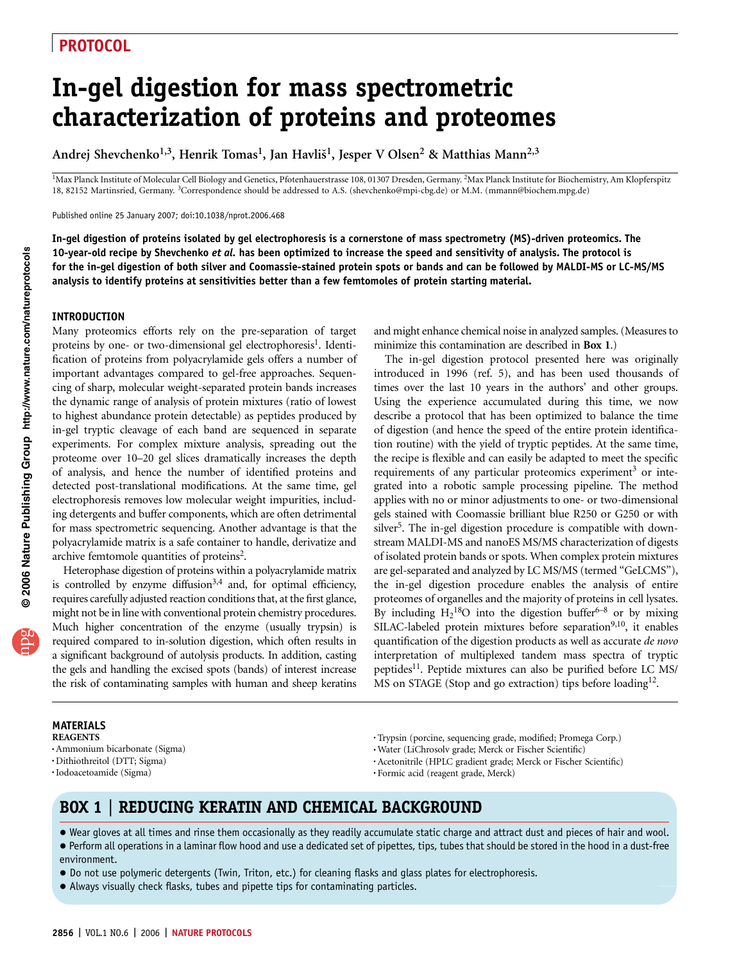# In-gel digestion for mass spectrometric characterization of proteins and proteomes

Andrej Shevchenko<sup>1,3</sup>, Henrik Tomas<sup>1</sup>, Jan Havliš<sup>1</sup>, Jesper V Olsen<sup>2</sup> & Matthias Mann<sup>2,3</sup>

<sup>1</sup>Max Planck Institute of Molecular Cell Biology and Genetics, Pfotenhauerstrasse 108, 01307 Dresden, Germany. <sup>2</sup>Max Planck Institute for Biochemistry, Am Klopferspitz 18, 82152 Martinsried, Germany. 3Correspondence should be addressed to A.S. (shevchenko@mpi-cbg.de) or M.M. (mmann@biochem.mpg.de)

Published online 25 January 2007; doi:10.1038/nprot.2006.468

In-gel digestion of proteins isolated by gel electrophoresis is a cornerstone of mass spectrometry (MS)-driven proteomics. The 10-year-old recipe by Shevchenko et al. has been optimized to increase the speed and sensitivity of analysis. The protocol is for the in-gel digestion of both silver and Coomassie-stained protein spots or bands and can be followed by MALDI-MS or LC-MS/MS analysis to identify proteins at sensitivities better than a few femtomoles of protein starting material.

#### INTRODUCTION

Many proteomics efforts rely on the pre-separation of target proteins by one- or two-dimensional gel electrophoresis<sup>1</sup>. Identification of proteins from polyacrylamide gels offers a number of important advantages compared to gel-free approaches. Sequencing of sharp, molecular weight-separated protein bands increases the dynamic range of analysis of protein mixtures (ratio of lowest to highest abundance protein detectable) as peptides produced by in-gel tryptic cleavage of each band are sequenced in separate experiments. For complex mixture analysis, spreading out the proteome over 10–20 gel slices dramatically increases the depth of analysis, and hence the number of identified proteins and detected post-translational modifications. At the same time, gel electrophoresis removes low molecular weight impurities, including detergents and buffer components, which are often detrimental for mass spectrometric sequencing. Another advantage is that the polyacrylamide matrix is a safe container to handle, derivatize and archive femtomole quantities of proteins<sup>2</sup>.

Heterophase digestion of proteins within a polyacrylamide matrix is controlled by enzyme diffusion<sup>3,4</sup> and, for optimal efficiency, requires carefully adjusted reaction conditions that, at the first glance, might not be in line with conventional protein chemistry procedures. Much higher concentration of the enzyme (usually trypsin) is required compared to in-solution digestion, which often results in a significant background of autolysis products. In addition, casting the gels and handling the excised spots (bands) of interest increase the risk of contaminating samples with human and sheep keratins and might enhance chemical noise in analyzed samples. (Measures to minimize this contamination are described in **Box 1.**)

The in-gel digestion protocol presented here was originally introduced in 1996 (ref. 5), and has been used thousands of times over the last 10 years in the authors' and other groups. Using the experience accumulated during this time, we now describe a protocol that has been optimized to balance the time of digestion (and hence the speed of the entire protein identification routine) with the yield of tryptic peptides. At the same time, the recipe is flexible and can easily be adapted to meet the specific requirements of any particular proteomics experiment<sup>3</sup> or integrated into a robotic sample processing pipeline. The method applies with no or minor adjustments to one- or two-dimensional gels stained with Coomassie brilliant blue R250 or G250 or with silver<sup>5</sup>. The in-gel digestion procedure is compatible with downstream MALDI-MS and nanoES MS/MS characterization of digests of isolated protein bands or spots. When complex protein mixtures are gel-separated and analyzed by LC MS/MS (termed "GeLCMS"), the in-gel digestion procedure enables the analysis of entire proteomes of organelles and the majority of proteins in cell lysates. By including  $H_2^{18}O$  into the digestion buffer<sup>6–8</sup> or by mixing SILAC-labeled protein mixtures before separation<sup>9,10</sup>, it enables quantification of the digestion products as well as accurate de novo interpretation of multiplexed tandem mass spectra of tryptic peptides<sup>11</sup>. Peptide mixtures can also be purified before LC MS/ MS on STAGE (Stop and go extraction) tips before loading<sup>12</sup>.

MATERIALS REAGENTS .Ammonium bicarbonate (Sigma) .Dithiothreitol (DTT; Sigma)

.Iodoacetoamide (Sigma)

.Trypsin (porcine, sequencing grade, modified; Promega Corp.)

.Water (LiChrosolv grade; Merck or Fischer Scientific)

.Acetonitrile (HPLC gradient grade; Merck or Fischer Scientific)

.Formic acid (reagent grade, Merck)

### BOX 1 | REDUCING KERATIN AND CHEMICAL BACKGROUND

- Wear gloves at all times and rinse them occasionally as they readily accumulate static charge and attract dust and pieces of hair and wool.
- Perform all operations in a laminar flow hood and use a dedicated set of pipettes, tips, tubes that should be stored in the hood in a dust-free environment.
- Do not use polymeric detergents (Twin, Triton, etc.) for cleaning flasks and glass plates for electrophoresis.
- Always visually check flasks, tubes and pipette tips for contaminating particles.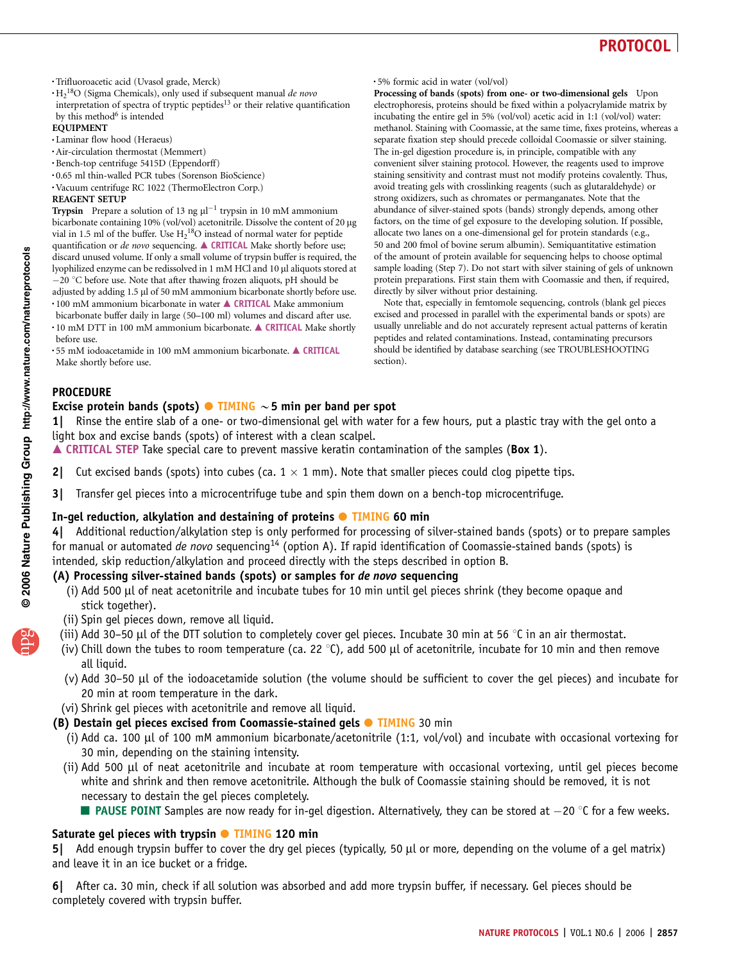- .Trifluoroacetic acid (Uvasol grade, Merck)
- $H_2^{18}$ O (Sigma Chemicals), only used if subsequent manual *de novo* interpretation of spectra of tryptic peptides $13$  or their relative quantification by this method<sup>6</sup> is intended

#### EQUIPMENT

- .Laminar flow hood (Heraeus)
- .Air-circulation thermostat (Memmert)
- .Bench-top centrifuge 5415D (Eppendorff)
- .0.65 ml thin-walled PCR tubes (Sorenson BioScience)
- .Vacuum centrifuge RC 1022 (ThermoElectron Corp.)

#### REAGENT SETUP

**Trypsin** Prepare a solution of 13 ng  $\mu$ l<sup>-1</sup> trypsin in 10 mM ammonium bicarbonate containing 10% (vol/vol) acetonitrile. Dissolve the content of 20 µg vial in 1.5 ml of the buffer. Use  $H_2{}^{18}O$  instead of normal water for peptide quantification or de novo sequencing.  $\triangle$  CRITICAL Make shortly before use; discard unused volume. If only a small volume of trypsin buffer is required, the lyophilized enzyme can be redissolved in 1 mM HCl and 10 µl aliquots stored at -20 °C before use. Note that after thawing frozen aliquots, pH should be adjusted by adding 1.5 µl of 50 mM ammonium bicarbonate shortly before use.  $\cdot$  100 mM ammonium bicarbonate in water  $\blacktriangle$  CRITICAL Make ammonium

- bicarbonate buffer daily in large (50–100 ml) volumes and discard after use.
- $\cdot$  10 mM DTT in 100 mM ammonium bicarbonate.  $\triangle$  CRITICAL Make shortly before use.
- $\cdot$  55 mM iodoacetamide in 100 mM ammonium bicarbonate.  $\triangle$  CRITICAL Make shortly before use.

#### .5% formic acid in water (vol/vol)

Processing of bands (spots) from one- or two-dimensional gels Upon electrophoresis, proteins should be fixed within a polyacrylamide matrix by incubating the entire gel in 5% (vol/vol) acetic acid in 1:1 (vol/vol) water: methanol. Staining with Coomassie, at the same time, fixes proteins, whereas a separate fixation step should precede colloidal Coomassie or silver staining. The in-gel digestion procedure is, in principle, compatible with any convenient silver staining protocol. However, the reagents used to improve staining sensitivity and contrast must not modify proteins covalently. Thus, avoid treating gels with crosslinking reagents (such as glutaraldehyde) or strong oxidizers, such as chromates or permanganates. Note that the abundance of silver-stained spots (bands) strongly depends, among other factors, on the time of gel exposure to the developing solution. If possible, allocate two lanes on a one-dimensional gel for protein standards (e.g., 50 and 200 fmol of bovine serum albumin). Semiquantitative estimation of the amount of protein available for sequencing helps to choose optimal sample loading (Step 7). Do not start with silver staining of gels of unknown protein preparations. First stain them with Coomassie and then, if required, directly by silver without prior destaining.

Note that, especially in femtomole sequencing, controls (blank gel pieces excised and processed in parallel with the experimental bands or spots) are usually unreliable and do not accurately represent actual patterns of keratin peptides and related contaminations. Instead, contaminating precursors should be identified by database searching (see TROUBLESHOOTING section).

### **PROCEDURE**

### Excise protein bands (spots)  $\bullet$  TIMING  $\sim$  5 min per band per spot

1| Rinse the entire slab of a one- or two-dimensional gel with water for a few hours, put a plastic tray with the gel onto a light box and excise bands (spots) of interest with a clean scalpel.

 $\triangle$  CRITICAL STEP Take special care to prevent massive keratin contamination of the samples (Box 1).

- 2| Cut excised bands (spots) into cubes (ca.  $1 \times 1$  mm). Note that smaller pieces could clog pipette tips.
- 3| Transfer gel pieces into a microcentrifuge tube and spin them down on a bench-top microcentrifuge.

### In-gel reduction, alkylation and destaining of proteins **· TIMING** 60 min

4| Additional reduction/alkylation step is only performed for processing of silver-stained bands (spots) or to prepare samples for manual or automated *de novo* sequencing<sup>14</sup> (option A). If rapid identification of Coomassie-stained bands (spots) is intended, skip reduction/alkylation and proceed directly with the steps described in option B.

### (A) Processing silver-stained bands (spots) or samples for *de novo* sequencing

- (i) Add 500 µl of neat acetonitrile and incubate tubes for 10 min until gel pieces shrink (they become opaque and stick together).
- (ii) Spin gel pieces down, remove all liquid.
- (iii) Add 30–50 µl of the DTT solution to completely cover gel pieces. Incubate 30 min at 56  $\degree$ C in an air thermostat.
- (iv) Chill down the tubes to room temperature (ca. 22 °C), add 500 µl of acetonitrile, incubate for 10 min and then remove all liquid.
- (v) Add 30–50 ml of the iodoacetamide solution (the volume should be sufficient to cover the gel pieces) and incubate for 20 min at room temperature in the dark.
- (vi) Shrink gel pieces with acetonitrile and remove all liquid.

### (B) Destain gel pieces excised from Coomassie-stained gels  $\bullet$  TIMING 30 min

- (i) Add ca. 100 ml of 100 mM ammonium bicarbonate/acetonitrile (1:1, vol/vol) and incubate with occasional vortexing for 30 min, depending on the staining intensity.
- (ii) Add 500 ml of neat acetonitrile and incubate at room temperature with occasional vortexing, until gel pieces become white and shrink and then remove acetonitrile. Although the bulk of Coomassie staining should be removed, it is not necessary to destain the gel pieces completely.
	- **PAUSE POINT** Samples are now ready for in-gel digestion. Alternatively, they can be stored at  $-20$  °C for a few weeks.

### Saturate gel pieces with trypsin  $\bullet$  TIMING 120 min

5| Add enough trypsin buffer to cover the dry gel pieces (typically, 50 µl or more, depending on the volume of a gel matrix) and leave it in an ice bucket or a fridge.

6| After ca. 30 min, check if all solution was absorbed and add more trypsin buffer, if necessary. Gel pieces should be completely covered with trypsin buffer.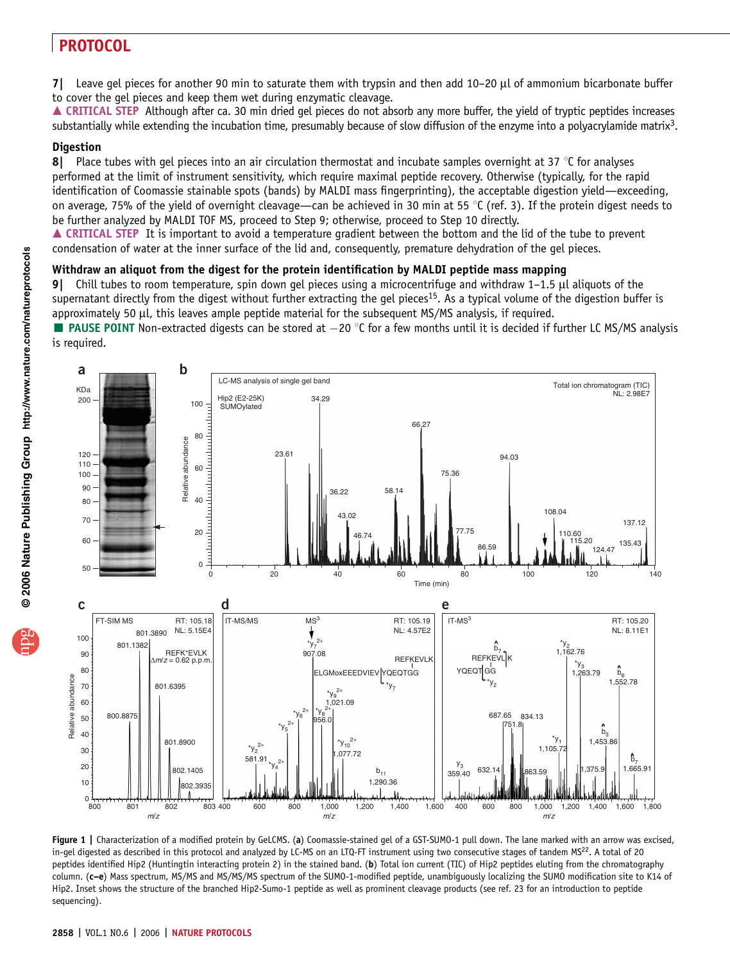$7$ | Leave gel pieces for another 90 min to saturate them with trypsin and then add 10–20  $\mu$ l of ammonium bicarbonate buffer to cover the gel pieces and keep them wet during enzymatic cleavage.

▲ CRITICAL STEP Although after ca. 30 min dried gel pieces do not absorb any more buffer, the yield of tryptic peptides increases substantially while extending the incubation time, presumably because of slow diffusion of the enzyme into a polyacrylamide matrix<sup>3</sup>.

### **Digestion**

8| Place tubes with gel pieces into an air circulation thermostat and incubate samples overnight at 37  $\degree$ C for analyses performed at the limit of instrument sensitivity, which require maximal peptide recovery. Otherwise (typically, for the rapid identification of Coomassie stainable spots (bands) by MALDI mass fingerprinting), the acceptable digestion yield—exceeding, on average, 75% of the yield of overnight cleavage—can be achieved in 30 min at 55  $\degree$ C (ref. 3). If the protein digest needs to be further analyzed by MALDI TOF MS, proceed to Step 9; otherwise, proceed to Step 10 directly.

▲ CRITICAL STEP It is important to avoid a temperature gradient between the bottom and the lid of the tube to prevent condensation of water at the inner surface of the lid and, consequently, premature dehydration of the gel pieces.

### Withdraw an aliquot from the digest for the protein identification by MALDI peptide mass mapping

Chill tubes to room temperature, spin down gel pieces using a microcentrifuge and withdraw  $1-1.5$   $\mu$ l aliquots of the supernatant directly from the digest without further extracting the gel pieces<sup>15</sup>. As a typical volume of the digestion buffer is approximately 50 µl, this leaves ample peptide material for the subsequent MS/MS analysis, if required.

**PAUSE POINT** Non-extracted digests can be stored at  $-20$  °C for a few months until it is decided if further LC MS/MS analysis is required.



Figure 1 | Characterization of a modified protein by GeLCMS. (a) Coomassie-stained gel of a GST-SUMO-1 pull down. The lane marked with an arrow was excised, in-gel digested as described in this protocol and analyzed by LC-MS on an LTQ-FT instrument using two consecutive stages of tandem MS<sup>22</sup>. A total of 20 peptides identified Hip2 (Huntingtin interacting protein 2) in the stained band. (b) Total ion current (TIC) of Hip2 peptides eluting from the chromatography column. (c–e) Mass spectrum, MS/MS and MS/MS/MS spectrum of the SUMO-1-modified peptide, unambiguously localizing the SUMO modification site to K14 of Hip2. Inset shows the structure of the branched Hip2-Sumo-1 peptide as well as prominent cleavage products (see ref. 23 for an introduction to peptide sequencing).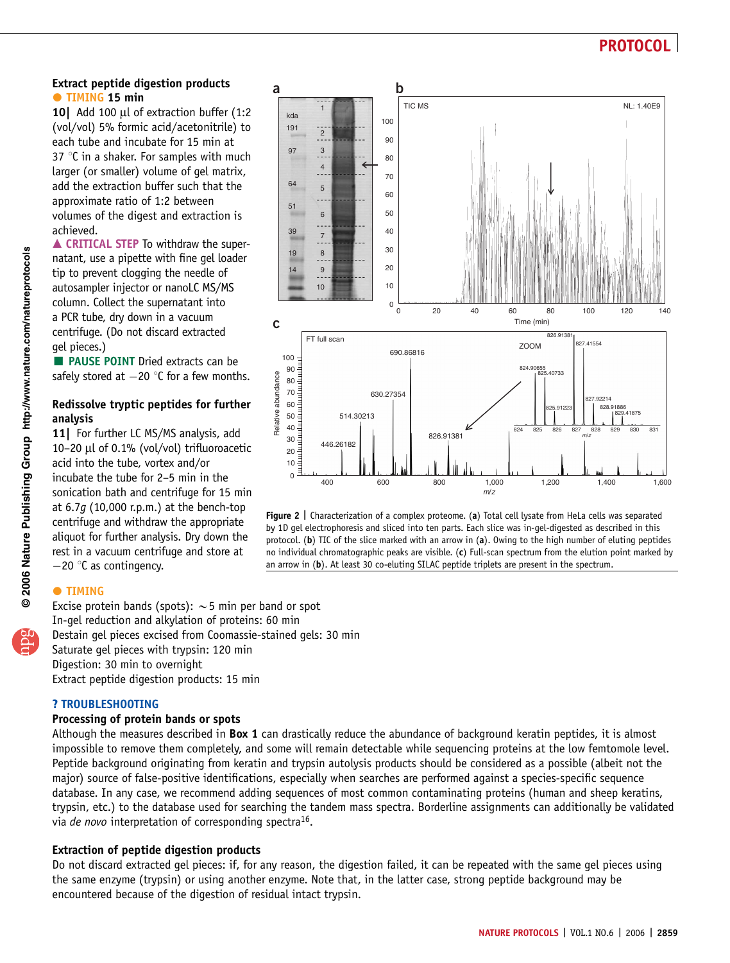### Extract peptide digestion products **TIMING 15 min**

10 Add 100 µl of extraction buffer (1:2 (vol/vol) 5% formic acid/acetonitrile) to each tube and incubate for 15 min at 37 $\degree$ C in a shaker. For samples with much larger (or smaller) volume of gel matrix, add the extraction buffer such that the approximate ratio of 1:2 between volumes of the digest and extraction is achieved.

**A CRITICAL STEP To withdraw the super**natant, use a pipette with fine gel loader tip to prevent clogging the needle of autosampler injector or nanoLC MS/MS column. Collect the supernatant into a PCR tube, dry down in a vacuum centrifuge. (Do not discard extracted gel pieces.)

**PAUSE POINT Dried extracts can be** safely stored at  $-20$  °C for a few months.

### Redissolve tryptic peptides for further analysis

11| For further LC MS/MS analysis, add 10–20  $\mu$ l of 0.1% (vol/vol) trifluoroacetic acid into the tube, vortex and/or incubate the tube for 2–5 min in the sonication bath and centrifuge for 15 min at  $6.7q$  (10,000 r.p.m.) at the bench-top centrifuge and withdraw the appropriate aliquot for further analysis. Dry down the rest in a vacuum centrifuge and store at  $-20$  °C as contingency.



Figure 2 | Characterization of a complex proteome. (a) Total cell lysate from HeLa cells was separated by 1D gel electrophoresis and sliced into ten parts. Each slice was in-gel-digested as described in this protocol. (b) TIC of the slice marked with an arrow in (a). Owing to the high number of eluting peptides no individual chromatographic peaks are visible.  $(c)$  Full-scan spectrum from the elution point marked by an arrow in (b). At least 30 co-eluting SILAC peptide triplets are present in the spectrum.

### **TIMING**

Excise protein bands (spots):  $\sim$  5 min per band or spot In-gel reduction and alkylation of proteins: 60 min Destain gel pieces excised from Coomassie-stained gels: 30 min Saturate gel pieces with trypsin: 120 min Digestion: 30 min to overnight Extract peptide digestion products: 15 min

### *?* TROUBLESHOOTING

### Processing of protein bands or spots

Although the measures described in Box 1 can drastically reduce the abundance of background keratin peptides, it is almost impossible to remove them completely, and some will remain detectable while sequencing proteins at the low femtomole level. Peptide background originating from keratin and trypsin autolysis products should be considered as a possible (albeit not the major) source of false-positive identifications, especially when searches are performed against a species-specific sequence database. In any case, we recommend adding sequences of most common contaminating proteins (human and sheep keratins, trypsin, etc.) to the database used for searching the tandem mass spectra. Borderline assignments can additionally be validated via de novo interpretation of corresponding spectra<sup>16</sup>.

### Extraction of peptide digestion products

Do not discard extracted gel pieces: if, for any reason, the digestion failed, it can be repeated with the same gel pieces using the same enzyme (trypsin) or using another enzyme. Note that, in the latter case, strong peptide background may be encountered because of the digestion of residual intact trypsin.